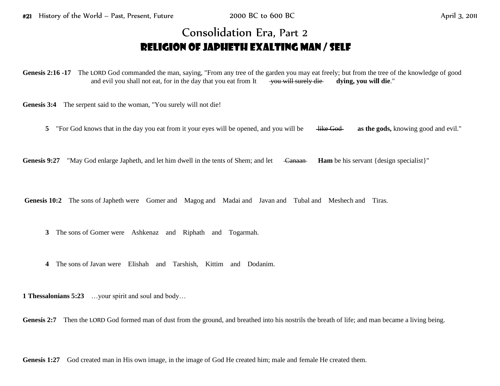## Consolidation Era, Part 2 Religion of Japheth exalting Man / Self

**Genesis 2:16 -17** The LORD God commanded the man, saying, "From any tree of the garden you may eat freely; but from the tree of the knowledge of good and evil you shall not eat, for in the day that you eat from It  $\rightarrow$  you will surely die dying, you will die."

**Genesis 3:4** The serpent said to the woman, "You surely will not die!

**5** "For God knows that in the day you eat from it your eyes will be opened, and you will be <del>like God</del> as the gods, knowing good and evil."

**Genesis 9:27** "May God enlarge Japheth, and let him dwell in the tents of Shem; and let <del>Canaan</del> **Ham** be his servant {design specialist}"

Genesis 10:2 The sons of Japheth were Gomer and Magog and Madai and Javan and Tubal and Meshech and Tiras.

**3** The sons of Gomer were Ashkenaz and Riphath and Togarmah.

**4** The sons of Javan were Elishah and Tarshish, Kittim and Dodanim.

**1 Thessalonians 5:23** …your spirit and soul and body…

Genesis 2:7 Then the LORD God formed man of dust from the ground, and breathed into his nostrils the breath of life; and man became a living being.

Genesis 1:27 God created man in His own image, in the image of God He created him; male and female He created them.